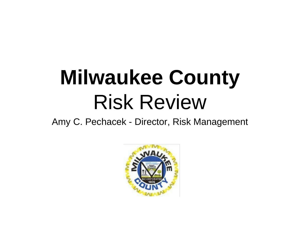# **Milwaukee County** Risk Review

Amy C. Pechacek - Director, Risk Management

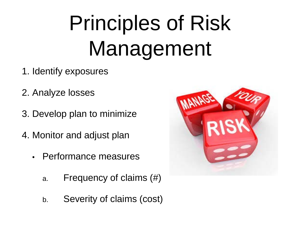# Principles of Risk Management

- 1. Identify exposures
- 2. Analyze losses
- 3. Develop plan to minimize
- 4. Monitor and adjust plan
	- Performance measures
		- a. Frequency of claims (#)
		- b. Severity of claims (cost)

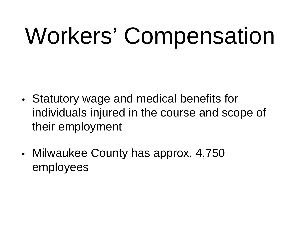# Workers' Compensation

- Statutory wage and medical benefits for individuals injured in the course and scope of their employment
- Milwaukee County has approx. 4,750 employees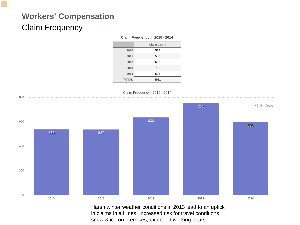# **Workers' Compensation** Claim Frequency

#### **Claim Frequency | 2010 - 2014**

|              | <b>Claim Count</b> |
|--------------|--------------------|
| 2010         | 538                |
| 2011         | 537                |
| 2012         | 636                |
| 2013         | 752                |
| 2014         | 598                |
| <b>TOTAL</b> | 3061               |



Harsh winter weather conditions in 2013 lead to an uptick in claims in all lines. Increased risk for travel conditions, snow & ice on premises, extended working hours.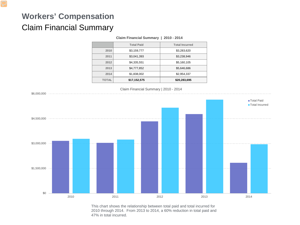# **Workers' Compensation** Claim Financial Summary

|              | Claim Financial Summary   2010 - 2014 |                       |  |
|--------------|---------------------------------------|-----------------------|--|
|              | <b>Total Paid</b>                     | <b>Total Incurred</b> |  |
| 2010         | \$3,159,777                           | \$3,283,620           |  |
| 2011         | \$3,041,393                           | \$3,238,946           |  |
| 2012         | \$4,335,551                           | \$5,160,105           |  |
| 2013         | \$4,777,852                           | \$5,646,686           |  |
| 2014         | \$1,838,002                           | \$2,954,337           |  |
| <b>TOTAL</b> | \$17,152,575                          | \$20,283,695          |  |



This chart shows the relationship between total paid and total incurred for 2010 through 2014. From 2013 to 2014, a 60% reduction in total paid and 47% in total incurred.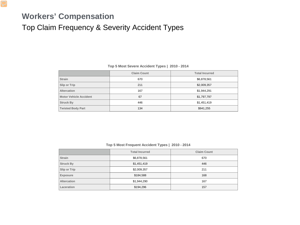#### **Workers' Compensation**

#### Top Claim Frequency & Severity Accident Types

|                               | <b>Claim Count</b> | <b>Total Incurred</b> |
|-------------------------------|--------------------|-----------------------|
| <b>Strain</b>                 | 670                | \$6,878,561           |
| <b>Slip or Trip</b>           | 211                | \$2,009,357           |
| <b>Altercation</b>            | 167                | \$1,944,291           |
| <b>Motor Vehicle Accident</b> | 67                 | \$1,797,797           |
| <b>Struck By</b>              | 446                | \$1,451,419           |
| <b>Twisted Body Part</b>      | 134                | \$941,255             |

#### **Top 5 Most Severe Accident Types | 2010 - 2014**

#### **Top 5 Most Frequent Accident Types | 2010 - 2014**

|                     | <b>Total Incurred</b> | <b>Claim Count</b> |
|---------------------|-----------------------|--------------------|
| <b>Strain</b>       | \$6,878,561           | 670                |
| <b>Struck By</b>    | \$1,451,419           | 446                |
| <b>Slip or Trip</b> | \$2,009,357           | 211                |
| <b>Exposure</b>     | \$184,588             | 168                |
| <b>Altercation</b>  | \$1,944,290           | 167                |
| Laceration          | \$194,296             | 157                |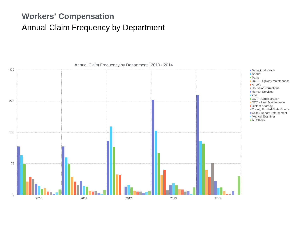## **Workers' Compensation** Annual Claim Frequency by Department



Annual Claim Frequency by Department | 2010 - 2014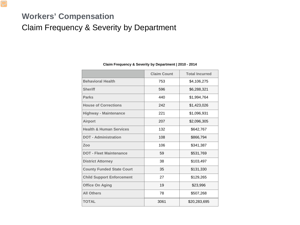## **Workers' Compensation** Claim Frequency & Severity by Department

|                                    | <b>Claim Count</b> | <b>Total Incurred</b> |
|------------------------------------|--------------------|-----------------------|
| <b>Behavioral Health</b>           | 753                | \$4,106,275           |
| <b>Sheriff</b>                     | 596                | \$6,288,321           |
| <b>Parks</b>                       | 440                | \$1,994,764           |
| <b>House of Corrections</b>        | 242                | \$1,423,026           |
| <b>Highway - Maintenance</b>       | 221                | \$1,096,931           |
| <b>Airport</b>                     | 207                | \$2,096,305           |
| <b>Health &amp; Human Services</b> | 132                | \$642,767             |
| <b>DOT - Administration</b>        | 108                | \$866,794             |
| Zoo                                | 106                | \$341,387             |
| <b>DOT - Fleet Maintenance</b>     | 59                 | \$531,769             |
| <b>District Attorney</b>           | 38                 | \$103,497             |
| <b>County Funded State Court</b>   | 35                 | \$131,330             |
| <b>Child Support Enforcement</b>   | 27                 | \$129,265             |
| <b>Office On Aging</b>             | 19                 | \$23,996              |
| <b>All Others</b>                  | 78                 | \$507,268             |
| <b>TOTAL</b>                       | 3061               | \$20,283,695          |

#### **Claim Frequency & Severity by Department | 2010 - 2014**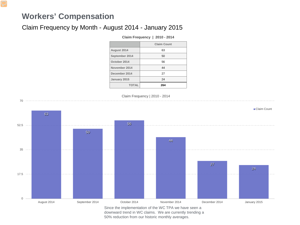#### **Workers' Compensation**

70

#### Claim Frequency by Month - August 2014 - January 2015

#### **Claim Frequency | 2010 - 2014**

|                | <b>Claim Count</b> |
|----------------|--------------------|
| August 2014    | 63                 |
| September 2014 | 50                 |
| October 2014   | 56                 |
| November 2014  | 44                 |
| December 2014  | 27                 |
| January 2015   | 24                 |
| <b>TOTAL</b>   | 264                |

Claim Frequency | 2010 - 2014



downward trend in WC claims. We are currently trending a 50% reduction from our historic monthly averages.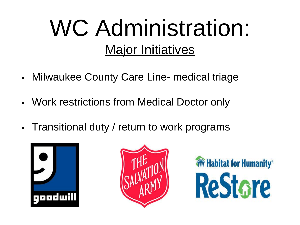# WC Administration: Major Initiatives

- Milwaukee County Care Line- medical triage
- Work restrictions from Medical Doctor only
- Transitional duty / return to work programs





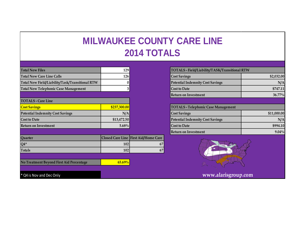# **MILWAUKEE COUNTY CARE LINE 2014 TOTALS**

| <b>Total New Files</b>                          | 129          |                                      | TOTALS - Field/Liability/TASK/Transitional RTW |             |
|-------------------------------------------------|--------------|--------------------------------------|------------------------------------------------|-------------|
| <b>Total New Care Line Calls</b>                | 126          |                                      | <b>Cost Savings</b>                            | \$2,032.00  |
| Total New Field/Liability/Task/Transitional RTW | $\bf{0}$     |                                      | <b>Potential Indemnity Cost Savings</b>        | N/A         |
| <b>Total New Telephonic Case Management</b>     | 3            |                                      | <b>Cost to Date</b>                            | \$747.11    |
|                                                 |              |                                      | <b>Return on Investment</b>                    | 36.77%      |
| <b>TOTALS - Care Line</b>                       |              |                                      |                                                |             |
| <b>Cost Savings</b>                             | \$237,300.00 |                                      | <b>TOTALS - Telephonic Case Management</b>     |             |
| <b>Potential Indemnity Cost Savings</b>         | N/A          |                                      | <b>Cost Savings</b>                            | \$11,000.00 |
| <b>Cost to Date</b>                             | \$13,472.50  |                                      | <b>Potential Indemnity Cost Savings</b>        | N/A         |
| <b>Return on Investment</b>                     | $5.68\%$     |                                      | <b>Cost to Date</b>                            | \$994.10    |
|                                                 |              |                                      | <b>Return on Investment</b>                    | $9.04\%$    |
| Quarter                                         |              | Closed Care Line First Aid/Home Care |                                                |             |
| $Q4*$                                           | 102          | 67                                   |                                                |             |
|                                                 |              |                                      |                                                |             |

**No Treatment Beyond First Aid Percentage 65.69%** 

**Totals 102 67**



\* Q4 is Nov and Dec Only **www.alarisgroup.com**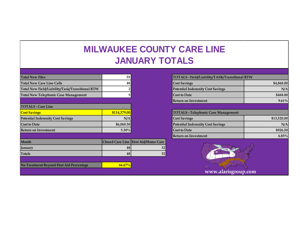# **MILWAUKEE COUNTY CARE LINE JANUARY TOTALS**

| <b>Total New Files</b>                          | 55           |                                      | TOTALS - Field/Liability/TASK/Transitional RTW |             |
|-------------------------------------------------|--------------|--------------------------------------|------------------------------------------------|-------------|
| <b>Total New Care Line Calls</b>                | 48           |                                      | <b>Cost Savings</b>                            | \$4,868.00  |
| Total New Field/Liability/Task/Transitional RTW |              |                                      | <b>Potential Indemnity Cost Savings</b>        | N/A         |
| <b>Total New Telephonic Case Management</b>     | C.           |                                      | <b>Cost to Date</b>                            | \$468.00    |
|                                                 |              |                                      | <b>Return on Investment</b>                    | 9.61%       |
| <b>TOTALS - Care Line</b>                       |              |                                      |                                                |             |
| <b>Cost Savings</b>                             | \$114,379.00 |                                      | <b>TOTALS - Telephonic Case Management</b>     |             |
| <b>Potential Indemnity Cost Savings</b>         | N/A          |                                      | <b>Cost Savings</b>                            | \$13,520.00 |
| <b>Cost to Date</b>                             | \$6,060.50   |                                      | <b>Potential Indemnity Cost Savings</b>        | N/A         |
| <b>Return on Investment</b>                     | $5.30\%$     |                                      | <b>Cost to Date</b>                            | \$926.50    |
|                                                 |              |                                      | <b>Return on Investment</b>                    | $6.85\%$    |
| Month                                           |              | Closed Care Line First Aid/Home Care |                                                |             |
| January                                         | 48           | 32                                   |                                                |             |
| <b>Totals</b>                                   | 48           | 32                                   |                                                |             |
|                                                 |              |                                      |                                                |             |
| No Treatment Beyond First Aid Percentage        | $66.67\%$    |                                      |                                                |             |
|                                                 |              |                                      |                                                |             |

| TOTALS - Field/Liability/TASK/Transitional RTW |             |  |
|------------------------------------------------|-------------|--|
| <b>Cost Savings</b>                            | \$4,868.00  |  |
| <b>Potential Indemnity Cost Savings</b>        | N/A         |  |
| <b>Cost to Date</b>                            | \$468.00    |  |
| <b>Return on Investment</b>                    | $9.61\%$    |  |
|                                                |             |  |
| <b>TOTALS - Telephonic Case Management</b>     |             |  |
| <b>Cost Savings</b>                            | \$13,520.00 |  |
| <b>Potential Indemnity Cost Savings</b>        | N/A         |  |
| <b>Cost to Date</b>                            | \$926.50    |  |
| <b>Return on Investment</b>                    | $6.85\%$    |  |
|                                                |             |  |

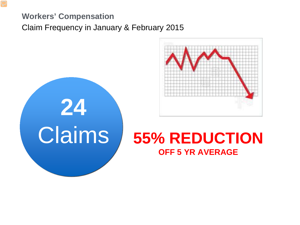# **Workers' Compensation** Claim Frequency in January & February 2015



# **24**

# Claims **55% REDUCTION OFF 5 YR AVERAGE**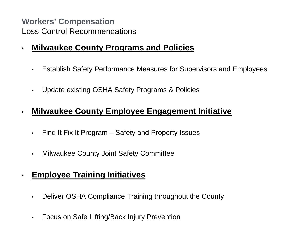**Workers' Compensation** Loss Control Recommendations

- **Milwaukee County Programs and Policies**
	- Establish Safety Performance Measures for Supervisors and Employees
	- Update existing OSHA Safety Programs & Policies

#### • **Milwaukee County Employee Engagement Initiative**

- Find It Fix It Program Safety and Property Issues
- Milwaukee County Joint Safety Committee

#### • **Employee Training Initiatives**

- Deliver OSHA Compliance Training throughout the County
- Focus on Safe Lifting/Back Injury Prevention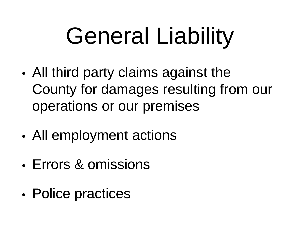# General Liability

- All third party claims against the County for damages resulting from our operations or our premises
- All employment actions
- Errors & omissions
- Police practices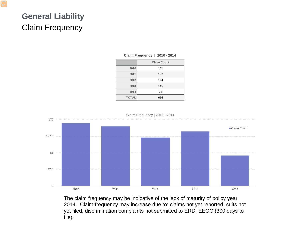# **General Liability** Claim Frequency

|              | <b>Claim Count</b> |
|--------------|--------------------|
| 2010         | 161                |
| 2011         | 153                |
| 2012         | 124                |
| 2013         | 140                |
| 2014         | 78                 |
| <b>TOTAL</b> | 656                |

#### **Claim Frequency | 2010 - 2014**



The claim frequency may be indicative of the lack of maturity of policy year 2014. Claim frequency may increase due to: claims not yet reported, suits not yet filed, discrimination complaints not submitted to ERD, EEOC (300 days to file).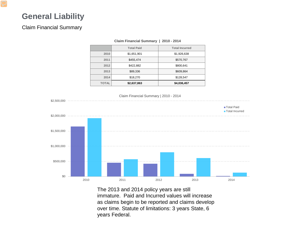#### **General Liability**

#### Claim Financial Summary

|              | <b>Total Paid</b> | <b>Total Incurred</b> |  |
|--------------|-------------------|-----------------------|--|
| 2010         | \$1,651,901       | \$1,926,638           |  |
| 2011         | \$455,474         | \$570,767             |  |
| 2012         | \$422,882         | \$800,641             |  |
| 2013         | \$89,336          | \$609,864             |  |
| 2014         | \$18,270          | \$128,547             |  |
| <b>TOTAL</b> | \$2,637,863       | \$4,036,457           |  |
|              |                   |                       |  |

#### **Claim Financial Summary | 2010 - 2014**



The 2013 and 2014 policy years are still immature. Paid and Incurred values will increase as claims begin to be reported and claims develop over time. Statute of limitations: 3 years State, 6 years Federal.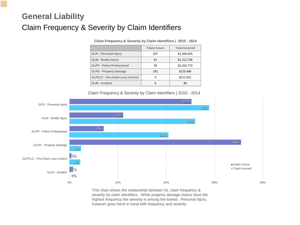## **General Liability** Claim Frequency & Severity by Claim Identifiers

|                                        | <b>Claim Count</b> | <b>Total Incurred</b> |
|----------------------------------------|--------------------|-----------------------|
| <b>GLPI - Personal Injury</b>          | 207                | \$1,458,935           |
| <b>GLBI - Bodily Injury</b>            | 91                 | \$1,312,756           |
| <b>GLPP - Police Professional</b>      | 58                 | \$1,032,779           |
| <b>GLPD - Property Damage</b>          | 291                | \$120,486             |
| <b>GLPCLC - Pre-Claim Loss Control</b> | 3                  | \$111,501             |
| <b>GLIN - Incident</b>                 | 6                  | \$0                   |

**Claim Frequency & Severity by Claim Identifiers | 2010 - 2014**

Claim Frequency & Severity by Claim Identifiers | 2010 - 2014



This chart shows the relationship between GL claim frequency & severity by claim identifiers. While property damage claims have the highest frequency the severity is among the lowest. Personal injury, however goes hand in hand with frequency and severity.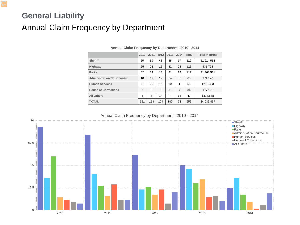# **General Liability** Annual Claim Frequency by Department

|                                  | 2010 | 2011 | 2012 | 2013 | 2014 | <b>Total</b> | <b>Total Incurred</b> |
|----------------------------------|------|------|------|------|------|--------------|-----------------------|
| <b>Sheriff</b>                   | 65   | 59   | 43   | 35   | 17   | 219          | \$1,914,558           |
| <b>Highway</b>                   | 25   | 28   | 16   | 32   | 25   | 126          | \$31,795              |
| <b>Parks</b>                     | 42   | 19   | 18   | 21   | 12   | 112          | \$1,368,581           |
| <b>Administration/Courthouse</b> | 10   | 11   | 12   | 24   | 6    | 63           | \$71,120              |
| <b>Human Services</b>            | 8    | 20   | 16   | 10   | 1    | 55           | \$259,393             |
| <b>House of Corrections</b>      | 6    | 8    | 5    | 11   | 4    | 34           | \$77,122              |
| <b>All Others</b>                | 5    | 8    | 14   | 7    | 13   | 47           | \$313,888             |
| <b>TOTAL</b>                     | 161  | 153  | 124  | 140  | 78   | 656          | \$4,036,457           |

**Annual Claim Frequency by Department | 2010 - 2014**

Annual Claim Frequency by Department | 2010 - 2014

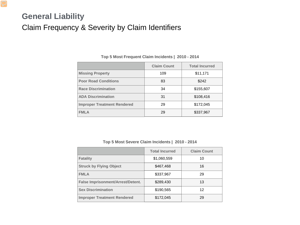# **General Liability** Claim Frequency & Severity by Claim Identifiers

|                                    | <b>Claim Count</b> | <b>Total Incurred</b> |
|------------------------------------|--------------------|-----------------------|
| <b>Missing Property</b>            | 109                | \$11,171              |
| <b>Poor Road Conditions</b>        | 83                 | \$242                 |
| <b>Race Discrimination</b>         | 34                 | \$155,607             |
| <b>ADA Discrimination</b>          | 31                 | \$108,416             |
| <b>Improper Treatment Rendered</b> | 29                 | \$172,045             |
| <b>FMLA</b>                        | 29                 | \$337,967             |

#### **Top 5 Most Frequent Claim Incidents | 2010 - 2014**

#### **Top 5 Most Severe Claim Incidents | 2010 - 2014**

|                                          | <b>Total Incurred</b> | <b>Claim Count</b> |
|------------------------------------------|-----------------------|--------------------|
| <b>Fatality</b>                          | \$1,060,559           | 10                 |
| <b>Struck by Flying Object</b>           | \$467,468             | 16                 |
| <b>FMLA</b>                              | \$337,967             | 29                 |
| <b>False Imprisonment/Arrest/Detent.</b> | \$289,430             | 13                 |
| <b>Sex Discrimination</b>                | \$190,565             | 12                 |
| <b>Improper Treatment Rendered</b>       | \$172,045             | 29                 |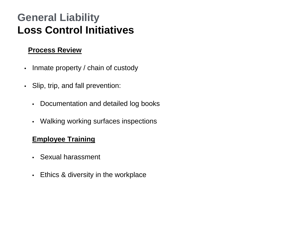# **General Liability Loss Control Initiatives**

#### **Process Review**

- Inmate property / chain of custody
- Slip, trip, and fall prevention:
	- Documentation and detailed log books
	- Walking working surfaces inspections

#### **Employee Training**

- Sexual harassment
- Ethics & diversity in the workplace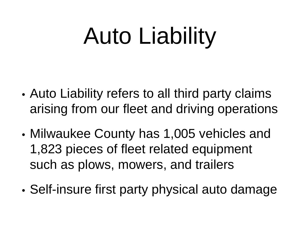# Auto Liability

- Auto Liability refers to all third party claims arising from our fleet and driving operations
- Milwaukee County has 1,005 vehicles and 1,823 pieces of fleet related equipment such as plows, mowers, and trailers
- Self-insure first party physical auto damage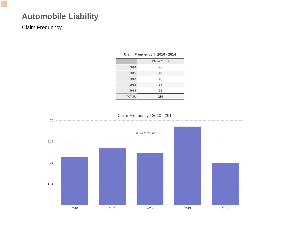#### **Automobile Liability**

#### Claim Frequency

|              | - -                |
|--------------|--------------------|
|              | <b>Claim Count</b> |
| 2010         | 40                 |
| 2011         | 47                 |
| 2012         | 43                 |
| 2013         | 65                 |
| 2014         | 35                 |
| <b>TOTAL</b> | 230                |

#### **Claim Frequency | 2010 - 2014**

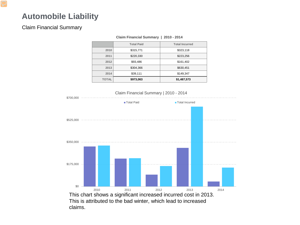#### **Automobile Liability**

#### Claim Financial Summary

|              | <b>Total Paid</b> | <b>Total Incurred</b> |
|--------------|-------------------|-----------------------|
| 2010         | \$315,771         | \$323,118             |
| 2011         | \$220,330         | \$223,256             |
| 2012         | \$93,486          | \$161,402             |
| 2013         | \$304,366         | \$630,451             |
| 2014         | \$39,111          | \$149,347             |
| <b>TOTAL</b> | \$973,063         | \$1,487,573           |
|              |                   |                       |

#### **Claim Financial Summary | 2010 - 2014**



claims.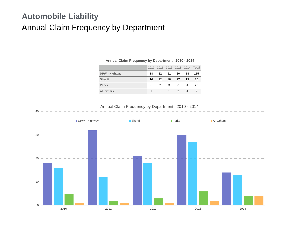#### **Automobile Liability** Annual Claim Frequency by Department

|                      | 2010 | 2011 | 2012 2013 |               | 2014 | <b>Total</b> |
|----------------------|------|------|-----------|---------------|------|--------------|
| <b>DPW - Highway</b> | 18   | 32   | 21        | 30            | 14   | 115          |
| <b>Sheriff</b>       | 16   | 12   | 18        | 27            | 13   | 86           |
| <b>Parks</b>         | 5    | 2    | 3         | 6             | 4    | 20           |
| <b>All Others</b>    | 1    | 1    | 1         | $\mathcal{P}$ | 4    | 9            |

#### **Annual Claim Frequency by Department | 2010 - 2014**

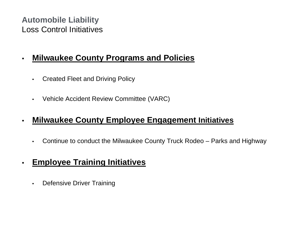#### **Automobile Liability** Loss Control Initiatives

#### • **Milwaukee County Programs and Policies**

- Created Fleet and Driving Policy
- Vehicle Accident Review Committee (VARC)

#### • **Milwaukee County Employee Engagement Initiatives**

- Continue to conduct the Milwaukee County Truck Rodeo Parks and Highway
- **Employee Training Initiatives**
	- Defensive Driver Training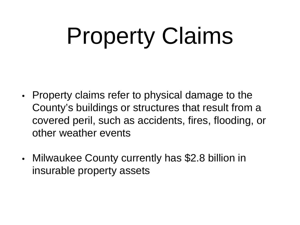# Property Claims

- Property claims refer to physical damage to the County's buildings or structures that result from a covered peril, such as accidents, fires, flooding, or other weather events
- Milwaukee County currently has \$2.8 billion in insurable property assets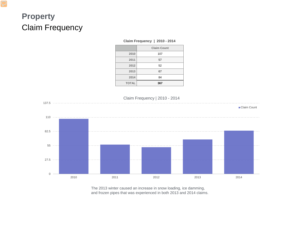# **Property** Claim Frequency

#### **Claim Frequency | 2010 - 2014**

| 2010         |
|--------------|
| 2011         |
| 2012         |
| 2013         |
| 2014         |
| <b>TOTAL</b> |
|              |



The 2013 winter caused an increase in snow loading, ice damming, and frozen pipes that was experienced in both 2013 and 2014 claims.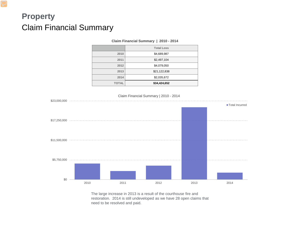## **Property** Claim Financial Summary

| Claim Financial Summary   2010 - 2014 |                   |  |
|---------------------------------------|-------------------|--|
|                                       | <b>Total Loss</b> |  |
| 2010                                  | \$4,689,987       |  |
| 2011                                  | \$2,497,104       |  |
| 2012                                  | \$4,079,050       |  |
| 2013                                  | \$21,122,838      |  |
| 2014                                  | \$2,035,672       |  |
| <b>TOTAL</b>                          | \$34,424,652      |  |

# \$0 \$5,750,000 \$11,500,000 \$17,250,000 \$23,000,000 2010 2011 2012 2013 2014 Claim Financial Summary | 2010 - 2014 **Total Incurred**

The large increase in 2013 is a result of the courthouse fire and restoration. 2014 is still undeveloped as we have 28 open claims that need to be resolved and paid.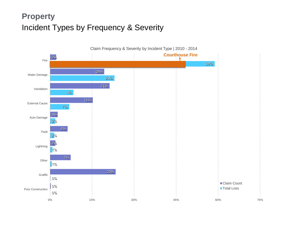# **Property** Incident Types by Frequency & Severity

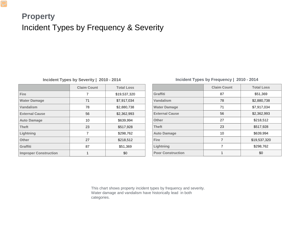## **Property** Incident Types by Frequency & Severity

#### **Incident Types by Severity | 2010 - 2014**

|                              | <b>Claim Count</b> | <b>Total Loss</b> |
|------------------------------|--------------------|-------------------|
| <b>Fire</b>                  | 7                  | \$19,537,320      |
| <b>Water Damage</b>          | 71                 | \$7,917,034       |
| <b>Vandalism</b>             | 78                 | \$2,880,738       |
| <b>External Cause</b>        | 56                 | \$2,362,993       |
| <b>Auto Damage</b>           | 10                 | \$639,994         |
| <b>Theft</b>                 | 23                 | \$517,928         |
| Lightning                    | 7                  | \$298,762         |
| <b>Other</b>                 | 27                 | \$218,512         |
| <b>Graffiti</b>              | 87                 | \$51,369          |
| <b>Improper Construction</b> |                    | \$0               |

#### **Incident Types by Frequency | 2010 - 2014**

|                          | <b>Claim Count</b> | <b>Total Loss</b> |
|--------------------------|--------------------|-------------------|
| <b>Graffiti</b>          | 87                 | \$51,369          |
| <b>Vandalism</b>         | 78                 | \$2,880,738       |
| <b>Water Damage</b>      | 71                 | \$7,917,034       |
| <b>External Cause</b>    | 56                 | \$2,362,993       |
| <b>Other</b>             | 27                 | \$218,512         |
| <b>Theft</b>             | 23                 | \$517,928         |
| <b>Auto Damage</b>       | 10                 | \$639,994         |
| <b>Fire</b>              | $\overline{7}$     | \$19,537,320      |
| Lightning                | 7                  | \$298,762         |
| <b>Poor Construction</b> | 1                  | \$0               |

This chart shows property incident types by frequency and severity. Water damage and vandalism have historically lead in both categories.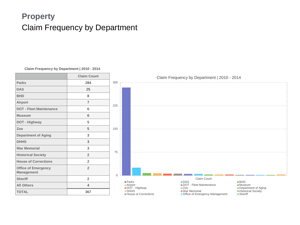## **Property** Claim Frequency by Department

#### **Claim Frequency by Department | 2010 - 2014**

| <b>Claim Count</b> |                |
|--------------------|----------------|
| 284                | 30             |
| 25                 |                |
| 8                  |                |
| $\overline{7}$     | 22             |
| 6                  |                |
| 6                  |                |
| 5                  |                |
| 5                  | 15             |
| 3                  |                |
| 3                  |                |
| 3                  |                |
| $\overline{2}$     | $\overline{7}$ |
| $\overline{2}$     |                |
| $\overline{2}$     |                |
| $\overline{2}$     |                |
| $\overline{4}$     |                |
| 367                |                |
|                    |                |

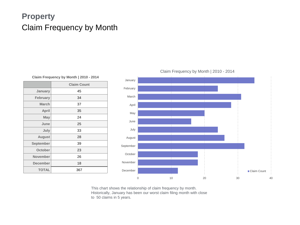## **Property** Claim Frequency by Month

|                  | <b>Claim Count</b> |
|------------------|--------------------|
| <b>January</b>   | 45                 |
| <b>February</b>  | 34                 |
| <b>March</b>     | 37                 |
| <b>April</b>     | 35                 |
| <b>May</b>       | 24                 |
| June             | 25                 |
| July             | 33                 |
| <b>August</b>    | 28                 |
| <b>September</b> | 39                 |
| <b>October</b>   | 23                 |
| <b>November</b>  | 26                 |
| <b>December</b>  | 18                 |
| <b>TOTAL</b>     | 367                |

**Claim Frequency by Month | 2010 - 2014**

#### Claim Frequency by Month | 2010 - 2014



This chart shows the relationship of claim frequency by month. Historically, January has been our worst claim filing month with close to 50 claims in 5 years.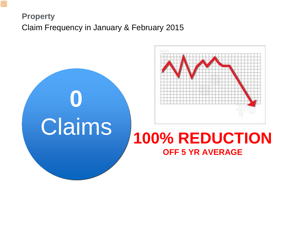# **Property** Claim Frequency in January & February 2015





# **OFF 5 YR AVERAGE**